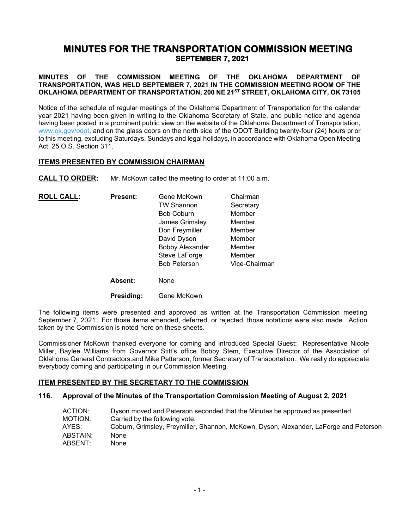# **MINUTES FOR THE TRANSPORTATION COMMISSION MEETING SEPTEMBER 7, 2021**

# **MINUTES OF THE COMMISSION MEETING OF THE OKLAHOMA DEPARTMENT OF TRANSPORTATION, WAS HELD SEPTEMBER 7, 2021 IN THE COMMISSION MEETING ROOM OF THE OKLAHOMA DEPARTMENT OF TRANSPORTATION, 200 NE 21ST STREET, OKLAHOMA CITY, OK 73105**

Notice of the schedule of regular meetings of the Oklahoma Department of Transportation for the calendar year 2021 having been given in writing to the Oklahoma Secretary of State, and public notice and agenda having been posted in a prominent public view on the website of the Oklahoma Department of Transportation, [www.ok.gov/odot,](http://www.ok.gov/odot) and on the glass doors on the north side of the ODOT Building twenty-four (24) hours prior to this meeting, excluding Saturdays, Sundays and legal holidays, in accordance with Oklahoma Open Meeting Act, 25 O.S. Section 311.

# **ITEMS PRESENTED BY COMMISSION CHAIRMAN**

**CALL TO ORDER:** Mr. McKown called the meeting to order at 11:00 a.m.

| <b>ROLL CALL:</b> | <b>Present:</b> | Gene McKown            | Chairman      |
|-------------------|-----------------|------------------------|---------------|
|                   |                 | <b>TW Shannon</b>      | Secretary     |
|                   |                 | <b>Bob Coburn</b>      | Member        |
|                   |                 | James Grimsley         | Member        |
|                   |                 | Don Freymiller         | Member        |
|                   |                 | David Dyson            | Member        |
|                   |                 | <b>Bobby Alexander</b> | Member        |
|                   |                 | Steve LaForge          | Member        |
|                   |                 | <b>Bob Peterson</b>    | Vice-Chairman |
|                   | <b>Absent:</b>  | None                   |               |
|                   | Presidina:      | Gene McKown            |               |

The following items were presented and approved as written at the Transportation Commission meeting September 7, 2021. For those items amended, deferred, or rejected, those notations were also made. Action taken by the Commission is noted here on these sheets.

Commissioner McKown thanked everyone for coming and introduced Special Guest: Representative Nicole Miller, Baylee Williams from Governor Stitt's office Bobby Stem, Executive Director of the Association of Oklahoma General Contractors.and Mike Patterson, former Secretary of Transportation. We really do appreciate everybody coming and participating in our Commission Meeting.

# **ITEM PRESENTED BY THE SECRETARY TO THE COMMISSION**

## **116. Approval of the Minutes of the Transportation Commission Meeting of August 2, 2021**

| ACTION:<br>MOTION: | Dyson moved and Peterson seconded that the Minutes be approved as presented.<br>Carried by the following vote: |
|--------------------|----------------------------------------------------------------------------------------------------------------|
| AYES:              | Coburn, Grimsley, Freymiller, Shannon, McKown, Dyson, Alexander, LaForge and Peterson                          |
| ABSTAIN:           | None                                                                                                           |
| ABSENT:            | None                                                                                                           |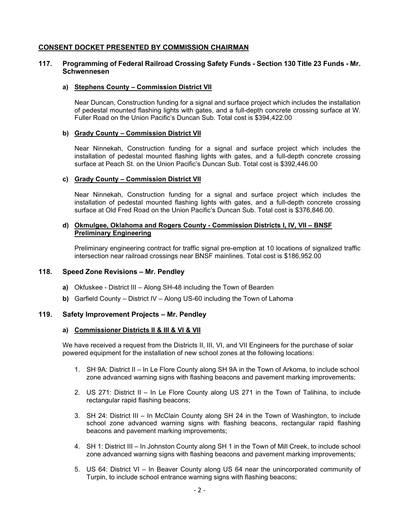# **CONSENT DOCKET PRESENTED BY COMMISSION CHAIRMAN**

# **117. Programming of Federal Railroad Crossing Safety Funds - Section 130 Title 23 Funds - Mr. Schwennesen**

#### **a) Stephens County – Commission District VII**

Near Duncan, Construction funding for a signal and surface project which includes the installation of pedestal mounted flashing lights with gates, and a full-depth concrete crossing surface at W. Fuller Road on the Union Pacific's Duncan Sub. Total cost is \$394,422.00

## **b) Grady County – Commission District VII**

Near Ninnekah, Construction funding for a signal and surface project which includes the installation of pedestal mounted flashing lights with gates, and a full-depth concrete crossing surface at Peach St. on the Union Pacific's Duncan Sub. Total cost is \$392,446.00

#### **c) Grady County – Commission District VII**

Near Ninnekah, Construction funding for a signal and surface project which includes the installation of pedestal mounted flashing lights with gates, and a full-depth concrete crossing surface at Old Fred Road on the Union Pacific's Duncan Sub. Total cost is \$376,846.00.

## **d) Okmulgee, Oklahoma and Rogers County - Commission Districts I, IV, VII – BNSF Preliminary Engineering**

Preliminary engineering contract for traffic signal pre-emption at 10 locations of signalized traffic intersection near railroad crossings near BNSF mainlines. Total cost is \$186,952.00

## **118. Speed Zone Revisions – Mr. Pendley**

- **a)** Okfuskee District III Along SH-48 including the Town of Bearden
- **b)** Garfield County District IV Along US-60 including the Town of Lahoma

## **119. Safety Improvement Projects – Mr. Pendley**

#### **a) Commissioner Districts II & III & VI & VII**

We have received a request from the Districts II, III, VI, and VII Engineers for the purchase of solar powered equipment for the installation of new school zones at the following locations:

- 1. SH 9A: District II In Le Flore County along SH 9A in the Town of Arkoma, to include school zone advanced warning signs with flashing beacons and pavement marking improvements;
- 2. US 271: District II In Le Flore County along US 271 in the Town of Talihina, to include rectangular rapid flashing beacons;
- 3. SH 24: District III In McClain County along SH 24 in the Town of Washington, to include school zone advanced warning signs with flashing beacons, rectangular rapid flashing beacons and pavement marking improvements;
- 4. SH 1: District III In Johnston County along SH 1 in the Town of Mill Creek, to include school zone advanced warning signs with flashing beacons and pavement marking improvements;
- 5. US 64: District VI In Beaver County along US 64 near the unincorporated community of Turpin, to include school entrance warning signs with flashing beacons;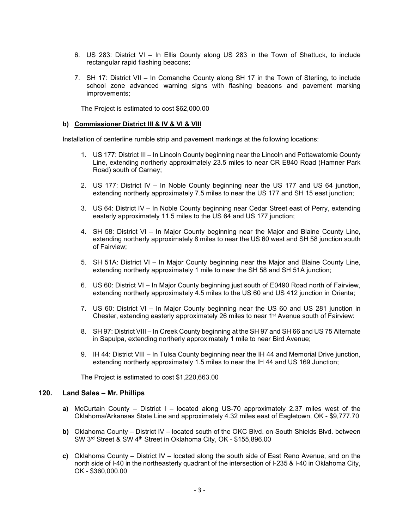- 6. US 283: District VI In Ellis County along US 283 in the Town of Shattuck, to include rectangular rapid flashing beacons;
- 7. SH 17: District VII In Comanche County along SH 17 in the Town of Sterling, to include school zone advanced warning signs with flashing beacons and pavement marking improvements;

The Project is estimated to cost \$62,000.00

#### **b) Commissioner District III & IV & VI & VIII**

Installation of centerline rumble strip and pavement markings at the following locations:

- 1. US 177: District III In Lincoln County beginning near the Lincoln and Pottawatomie County Line, extending northerly approximately 23.5 miles to near CR E840 Road (Hamner Park Road) south of Carney;
- 2. US 177: District IV In Noble County beginning near the US 177 and US 64 junction, extending northerly approximately 7.5 miles to near the US 177 and SH 15 east junction;
- 3. US 64: District IV In Noble County beginning near Cedar Street east of Perry, extending easterly approximately 11.5 miles to the US 64 and US 177 junction;
- 4. SH 58: District VI In Major County beginning near the Major and Blaine County Line, extending northerly approximately 8 miles to near the US 60 west and SH 58 junction south of Fairview;
- 5. SH 51A: District VI In Major County beginning near the Major and Blaine County Line, extending northerly approximately 1 mile to near the SH 58 and SH 51A junction;
- 6. US 60: District VI In Major County beginning just south of E0490 Road north of Fairview, extending northerly approximately 4.5 miles to the US 60 and US 412 junction in Orienta;
- 7. US 60: District VI In Major County beginning near the US 60 and US 281 junction in Chester, extending easterly approximately 26 miles to near 1st Avenue south of Fairview:
- 8. SH 97: District VIII In Creek County beginning at the SH 97 and SH 66 and US 75 Alternate in Sapulpa, extending northerly approximately 1 mile to near Bird Avenue;
- 9. IH 44: District VIII In Tulsa County beginning near the IH 44 and Memorial Drive junction, extending northerly approximately 1.5 miles to near the IH 44 and US 169 Junction;

The Project is estimated to cost \$1,220,663.00

# **120. Land Sales – Mr. Phillips**

- **a)** McCurtain County District I located along US-70 approximately 2.37 miles west of the Oklahoma/Arkansas State Line and approximately 4.32 miles east of Eagletown, OK - \$9,777.70
- **b)** Oklahoma County District IV located south of the OKC Blvd. on South Shields Blvd. between SW 3rd Street & SW 4th Street in Oklahoma City, OK - \$155,896.00
- **c)** Oklahoma County District IV located along the south side of East Reno Avenue, and on the north side of I-40 in the northeasterly quadrant of the intersection of I-235 & I-40 in Oklahoma City, OK - \$360,000.00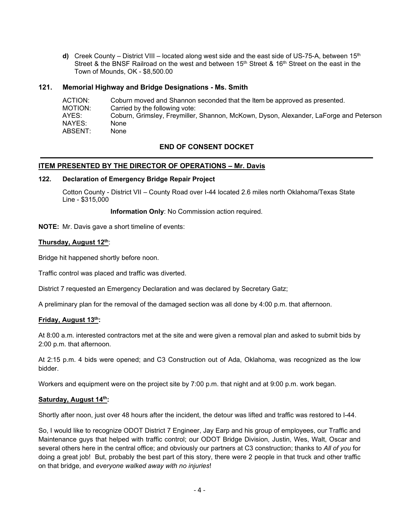**d)** Creek County – District VIII – located along west side and the east side of US-75-A, between 15<sup>th</sup> Street & the BNSF Railroad on the west and between 15<sup>th</sup> Street & 16<sup>th</sup> Street on the east in the Town of Mounds, OK - \$8,500.00

# **121. Memorial Highway and Bridge Designations - Ms. Smith**

| ACTION: | Coburn moved and Shannon seconded that the Item be approved as presented.             |
|---------|---------------------------------------------------------------------------------------|
| MOTION: | Carried by the following vote:                                                        |
| AYES:   | Coburn, Grimsley, Freymiller, Shannon, McKown, Dyson, Alexander, LaForge and Peterson |
| NAYES:  | None                                                                                  |
| ABSENT: | None                                                                                  |

# **END OF CONSENT DOCKET**

# **ITEM PRESENTED BY THE DIRECTOR OF OPERATIONS – Mr. Davis**

## **122. Declaration of Emergency Bridge Repair Project**

Cotton County - District VII – County Road over I-44 located 2.6 miles north Oklahoma/Texas State Line - \$315,000

**Information Only**: No Commission action required.

**NOTE:** Mr. Davis gave a short timeline of events:

## **Thursday, August 12th**:

Bridge hit happened shortly before noon.

Traffic control was placed and traffic was diverted.

District 7 requested an Emergency Declaration and was declared by Secretary Gatz;

A preliminary plan for the removal of the damaged section was all done by 4:00 p.m. that afternoon.

## **Friday, August 13th:**

At 8:00 a.m. interested contractors met at the site and were given a removal plan and asked to submit bids by 2:00 p.m. that afternoon.

At 2:15 p.m. 4 bids were opened; and C3 Construction out of Ada, Oklahoma, was recognized as the low bidder.

Workers and equipment were on the project site by 7:00 p.m. that night and at 9:00 p.m. work began.

## **Saturday, August 14th:**

Shortly after noon, just over 48 hours after the incident, the detour was lifted and traffic was restored to I-44.

So, I would like to recognize ODOT District 7 Engineer, Jay Earp and his group of employees, our Traffic and Maintenance guys that helped with traffic control; our ODOT Bridge Division, Justin, Wes, Walt, Oscar and several others here in the central office; and obviously our partners at C3 construction; thanks to *All of you* for doing a great job! But, probably the best part of this story, there were 2 people in that truck and other traffic on that bridge, and *everyone walked away with no injuries*!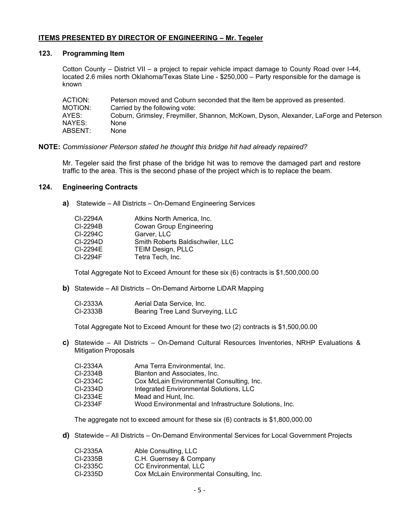# **ITEMS PRESENTED BY DIRECTOR OF ENGINEERING – Mr. Tegeler**

# **123. Programming Item**

Cotton County – District VII – a project to repair vehicle impact damage to County Road over I-44, located 2.6 miles north Oklahoma/Texas State Line - \$250,000 – Party responsible for the damage is known

| ACTION: | Peterson moved and Coburn seconded that the Item be approved as presented.            |
|---------|---------------------------------------------------------------------------------------|
| MOTION: | Carried by the following vote:                                                        |
| AYES:   | Coburn, Grimsley, Freymiller, Shannon, McKown, Dyson, Alexander, LaForge and Peterson |
| NAYES:  | None                                                                                  |
| ABSENT: | None                                                                                  |

# **NOTE:** *Commissioner Peterson stated he thought this bridge hit had already repaired?*

Mr. Tegeler said the first phase of the bridge hit was to remove the damaged part and restore traffic to the area. This is the second phase of the project which is to replace the beam.

# **124. Engineering Contracts**

**a)** Statewide – All Districts – On-Demand Engineering Services

| CI-2294A | Atkins North America, Inc.       |
|----------|----------------------------------|
| CI-2294B | <b>Cowan Group Engineering</b>   |
| CI-2294C | Garver, LLC                      |
| CI-2294D | Smith Roberts Baldischwiler, LLC |
| CI-2294E | <b>TEIM Design, PLLC</b>         |
| CI-2294F | Tetra Tech, Inc.                 |

Total Aggregate Not to Exceed Amount for these six (6) contracts is \$1,500,000.00

**b)** Statewide – All Districts – On-Demand Airborne LiDAR Mapping

| CI-2333A | Aerial Data Service, Inc.        |
|----------|----------------------------------|
| CI-2333B | Bearing Tree Land Surveying, LLC |

Total Aggregate Not to Exceed Amount for these two (2) contracts is \$1,500,00.00

**c)** Statewide – All Districts – On-Demand Cultural Resources Inventories, NRHP Evaluations & Mitigation Proposals

| CI-2334A | Ama Terra Environmental, Inc.                         |
|----------|-------------------------------------------------------|
| CI-2334B | Blanton and Associates, Inc.                          |
| CI-2334C | Cox McLain Environmental Consulting, Inc.             |
| CI-2334D | Integrated Environmental Solutions, LLC               |
| CI-2334E | Mead and Hunt. Inc.                                   |
| CI-2334F | Wood Environmental and Infrastructure Solutions, Inc. |

The aggregate not to exceed amount for these six (6) contracts is \$1,800,000.00

**d)** Statewide – All Districts – On-Demand Environmental Services for Local Government Projects

| CI-2335A | Able Consulting, LLC                      |
|----------|-------------------------------------------|
| CI-2335B | C.H. Guernsey & Company                   |
| CI-2335C | CC Environmental, LLC                     |
| CI-2335D | Cox McLain Environmental Consulting, Inc. |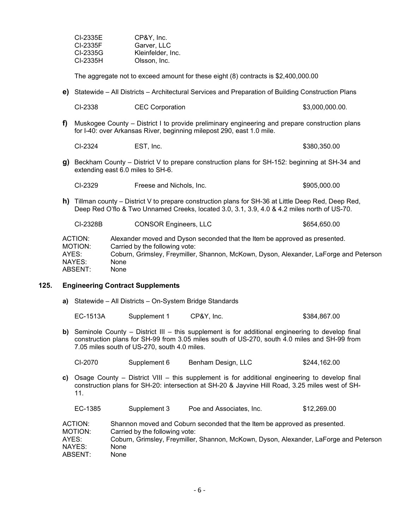| CI-2335E | CP&Y, Inc.        |
|----------|-------------------|
| CI-2335F | Garver, LLC       |
| CI-2335G | Kleinfelder, Inc. |
| CI-2335H | Olsson, Inc.      |

The aggregate not to exceed amount for these eight (8) contracts is \$2,400,000.00

**e)** Statewide – All Districts – Architectural Services and Preparation of Building Construction Plans

| CI-2338 | <b>CEC Corporation</b> | \$3,000,000.00. |
|---------|------------------------|-----------------|
|         |                        |                 |

**f)** Muskogee County – District I to provide preliminary engineering and prepare construction plans for I-40: over Arkansas River, beginning milepost 290, east 1.0 mile.

CI-2324 EST, Inc. 6380,350.00

**g)** Beckham County – District V to prepare construction plans for SH-152: beginning at SH-34 and extending east 6.0 miles to SH-6.

| CI-2329 | Freese and Nichols, Inc. | \$905,000.00 |
|---------|--------------------------|--------------|
|---------|--------------------------|--------------|

**h)** Tillman county – District V to prepare construction plans for SH-36 at Little Deep Red, Deep Red, Deep Red O'flo & Two Unnamed Creeks, located 3.0, 3.1, 3.9, 4.0 & 4.2 miles north of US-70.

| CI-2328B | <b>CONSOR Engineers, LLC</b>                                               | \$654,650.00                                                                          |
|----------|----------------------------------------------------------------------------|---------------------------------------------------------------------------------------|
| ACTION:  | Alexander moved and Dyson seconded that the Item be approved as presented. |                                                                                       |
| MOTION:  | Carried by the following vote:                                             |                                                                                       |
| AYES:    |                                                                            | Coburn, Grimsley, Freymiller, Shannon, McKown, Dyson, Alexander, LaForge and Peterson |
| NAYES:   | None                                                                       |                                                                                       |
| ABSENT:  | None                                                                       |                                                                                       |

## **125. Engineering Contract Supplements**

**a)** Statewide – All Districts – On-System Bridge Standards

| EC-1513A | Supplement 1 | CP&Y, Inc. | \$384,867.00 |
|----------|--------------|------------|--------------|
|          |              |            |              |

**b)** Seminole County – District III – this supplement is for additional engineering to develop final construction plans for SH-99 from 3.05 miles south of US-270, south 4.0 miles and SH-99 from 7.05 miles south of US-270, south 4.0 miles.

| CI-2070 | Supplement 6 | Benham Design, LLC | \$244,162.00 |
|---------|--------------|--------------------|--------------|
|         |              |                    |              |

**c)** Osage County – District VIII – this supplement is for additional engineering to develop final construction plans for SH-20: intersection at SH-20 & Jayvine Hill Road, 3.25 miles west of SH-11.

| EC-1385 | Supplement 3 | Poe and Associates, Inc. | \$12,269.00 |
|---------|--------------|--------------------------|-------------|
|---------|--------------|--------------------------|-------------|

| ACTION: | Shannon moved and Coburn seconded that the Item be approved as presented.             |
|---------|---------------------------------------------------------------------------------------|
| MOTION: | Carried by the following vote:                                                        |
| AYES:   | Coburn, Grimsley, Freymiller, Shannon, McKown, Dyson, Alexander, LaForge and Peterson |
| NAYES:  | None                                                                                  |
| ABSENT: | None                                                                                  |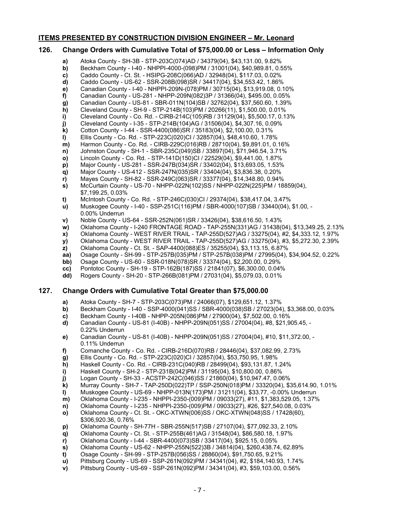## **ITEMS PRESENTED BY CONSTRUCTION DIVISION ENGINEER – Mr. Leonard**

# **126. Change Orders with Cumulative Total of \$75,000.00 or Less – Information Only**

- **a)** Atoka County SH-3B STP-203C(074)AD / 34379(04), \$43,131.00, 9.82%
- **b)** Beckham County I-40 NHPPI-4000-(098)PM / 31001(04), \$40,989.81, 0.55%
- **c)** Caddo County Ct. St. HSIPG-208C(066)AD / 32948(04), \$117.03, 0.02%
- **d)** Caddo County US-62 SSR-208B(098)SR / 34417(04), \$34,553.42, 1.86% **e)** Canadian County - I-40 - NHPPI-209N-(078)PM / 30715(04), \$13,919.08, 0.10%
- **f)** Canadian County US-281 NHPP-209N(082)3P / 31366(04), \$495.00, 0.05%
- 
- **g)** Canadian County US-81 SBR-011N(104)SB / 32762(04), \$37,560.60, 1.39%<br>**h)** Cleveland County SH-9 STP-214B(103)PM / 20266(11), \$1,500.00, 0.01%
- **h)** Cleveland County SH-9 STP-214B(103)PM / 20266(11), \$1,500.00, 0.01%<br>**i)** Cleveland County Co. Rd. CIRB-214C(105)RB / 31129(04), \$5,500.17, 0.1 **i)** Cleveland County - Co. Rd. - CIRB-214C(105)RB / 31129(04), \$5,500.17, 0.13%
- **j)** Cleveland County I-35 STP-214B(104)AG / 31506(04), \$4,307.16, 0.09%
- **k)** Cotton County I-44 SSR-4400(086)SR / 35183(04), \$2,100.00, 0.31%
- **l)** Ellis County Co. Rd. STP-223C(020)CI / 32857(04), \$48,410.60, 1.78%
- **m)** Harmon County Co. Rd. CIRB-229C(016)RB / 28710(04), \$9,891.01, 0.16%
- **n)** Johnston County SH-1 SBR-235C(049)SB / 33897(04), \$71,946.54, 3.71%
- **o)** Lincoln County Co. Rd. STP-141D(150)CI / 22529(04), \$9,441.00, 1.87%
- **p)** Major County US-281 SSR-247B(034)SR / 33402(04), \$13,693.05, 1.53%
- **q)** Major County US-412 SSR-247N(035)SR / 33404(04), \$3,836.38, 0.20%
- **r)** Mayes County SH-82 SSR-249C(063)SR / 33377(04), \$14,348.80, 0.94%
- **s)** McCurtain County US-70 NHPP-022N(102)SS / NHPP-022N(225)PM / 18859(04), \$7,199.25, 0.03%
- 
- **t)** McIntosh County Co. Rd. STP-246C(030)CI / 29374(04), \$38,417.04, 3.47% **u)** Muskogee County - I-40 - SSP-251C(116)PM / SBR-4000(107)SB / 33440(04), \$1.00, - 0.00% Underrun
- **v)** Noble County US-64 SSR-252N(061)SR / 33426(04), \$38,616.50, 1.43%
- **w)** Oklahoma County I-240 FRONTAGE ROAD TAP-255N(331)AG / 31438(04), \$13,349.25, 2.13%
- **x)** Oklahoma County WEST RIVER TRAIL TAP-255D(527)AG / 33275(04), #2, \$4,333.12, 1.97%
- **y)** Oklahoma County WEST RIVER TRAIL TAP-255D(527)AG / 33275(04), #3, \$5,272.30, 2.39%
- **z)** Oklahoma County Ct. St. SAP-4400(088)ES / 35255(04), \$3,113.15, 6.87%
- **aa)** Osage County SH-99 STP-257B(035)PM / STP-257B(038)PM / 27995(04), \$34,904.52, 0.22%<br>**bb)** Osage County US-60 SSR-018N(078)SR / 33374(04), \$2,200.00, 0.29%
- **bb)** Osage County US-60 SSR-018N(078)SR / 33374(04), \$2,200.00, 0.29%
- 
- **cc)** Pontotoc County SH-19 STP-162B(187)SS / 21841(07), \$6,300.00, 0.04% **dd)** Rogers County - SH-20 - STP-266B(081)PM / 27031(04), \$5,079.03, 0.01%

## **127. Change Orders with Cumulative Total Greater than \$75,000.00**

- **a)** Atoka County SH-7 STP-203C(073)PM / 24066(07), \$129,651.12, 1.37%
- **b)** Beckham County I-40 SSP-4000(041)SS / SBR-4000(038)SB / 27023(04), \$3,368.00, 0.03%<br> **c)** Beckham County I-40B NHPP-205N(086)PM / 27900(04), \$7,502.00, 0.16%
- **c)** Beckham County I-40B NHPP-205N(086)PM / 27900(04), \$7,502.00, 0.16%
- **d)** Canadian County US-81 (I-40B) NHPP-209N(051)SS / 27004(04), #8, \$21,905.45, 0.22% Underrun
- **e)** Canadian County US-81 (I-40B) NHPP-209N(051)SS / 27004(04), #10, \$11,372.00, 0.11% Underrun
- **f)** Comanche County Co. Rd. CIRB-216D(070)RB / 28446(04), \$37,082.99, 2.73%
- **g)** Ellis County Co. Rd. STP-223C(020)CI / 32857(04), \$53,750.95, 1.98%
- 
- **h)** Haskell County Co. Rd. CIRB-231C(040)RB / 28499(04), \$93,131.87, 1.24%
- **i)** Haskell County SH-2 STP-231B(042)PM / 31195(04), \$10,800.00, 0.86%<br>**j)** Logan County SH-33 ACSTP-242C(046)SS / 21860(04), \$10,947.47, 0.06 **j)** Logan County - SH-33 - ACSTP-242C(046)SS / 21860(04), \$10,947.47, 0.06%
- **k)** Murray County SH-7 TAP-250D(022)TP / SSP-250N(018)PM / 33320(04), \$35,614.90, 1.01%
- **l)** Muskogee County US-69 NHPP-013N(173)PM / 31211(04), \$33.77, -0.00% Underrun
- **m)** Oklahoma County I-235 NHPPI-2350-(009)PM / 09033(27), #11, \$1,383,529.05, 1.37%
- **n)** Oklahoma County I-235 NHPPI-2350-(009)PM / 09033(27), #26, \$27,540.08, 0.03%
- **o)** Oklahoma County Ct. St. OKC-XTWN(006)SS / OKC-XTWN(048)SS / 17428(60), \$306,920.36, 0.76%
- **p)** Oklahoma County SH-77H SBR-255N(517)SB / 27107(04), \$77,092.33, 2.10%
- **q)** Oklahoma County Ct. St. STP-255B(461)AG / 31548(04), \$86,580.18, 1.97%
- **r)** Oklahoma County I-44 SBR-4400(073)SB / 33417(04), \$925.15, 0.05%
- **s)** Oklahoma County US-62 NHPP-255N(522)3B / 34814(04), \$260,438.74, 62.89%
- **t)** Osage County SH-99 STP-257B(056)SS / 28860(04), \$91,750.65, 9.21%
- **u)** Pittsburg County US-69 SSP-261N(092)PM / 34341(04), #2, \$184,140.93, 1.74%
- **v)** Pittsburg County US-69 SSP-261N(092)PM / 34341(04), #3, \$59,103.00, 0.56%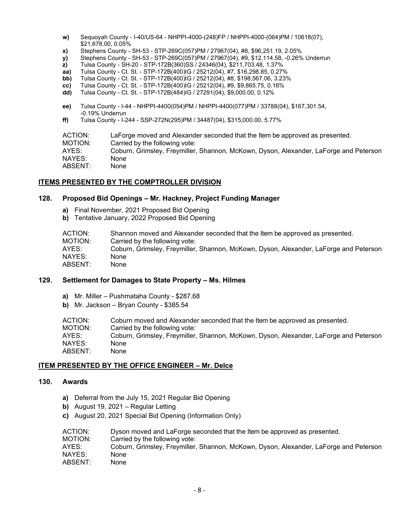- **w)** Sequoyah County I-40/US-64 NHPPI-4000-(248)FP / NHPPI-4000-(064)PM / 10618(07), \$21,678.00, 0.05%
- **x)** Stephens County SH-53 STP-269C(057)PM / 27967(04), #8, \$96,251.19, 2.05%
- **y)** Stephens County SH-53 STP-269C(057)PM / 27967(04), #9, \$12,114.58, -0.26% Underrun
- **z)** Tulsa County SH-20 STP-172B(360)SS / 24346(04), \$211,703.48, 1.37%
- **aa)** Tulsa County Ct. St. STP-172B(400)IG / 25212(04), #7, \$16,298.85, 0.27%<br>**bb)** Tulsa County Ct. St. STP-172B(400)IG / 25212(04), #8, \$198,567.06, 3.23%
- **bb)** Tulsa County Ct. St. STP-172B(400)IG / 25212(04), #8, \$198,567.06, 3.23%
- **cc)** Tulsa County Ct. St. STP-172B(400)IG / 25212(04), #9, \$9,865.75, 0.16%
- **dd)** Tulsa County Ct. St. STP-172B(484)IG / 27291(04), \$9,000.00, 0.12%
- **ee)** Tulsa County I-44 NHPPI-4400(054)PM / NHPPI-4400(077)PM / 33788(04), \$167,301.54, -0.19% Underrun
- **ff)** Tulsa County I-244 SSP-272N(295)PM / 34487(04), \$315,000.00, 5.77%

| ACTION: | LaForge moved and Alexander seconded that the Item be approved as presented.          |
|---------|---------------------------------------------------------------------------------------|
| MOTION: | Carried by the following vote:                                                        |
| AYES:   | Coburn, Grimsley, Freymiller, Shannon, McKown, Dyson, Alexander, LaForge and Peterson |
| NAYES:  | None                                                                                  |
| ABSENT: | None                                                                                  |
|         |                                                                                       |

# **ITEMS PRESENTED BY THE COMPTROLLER DIVISION**

# **128. Proposed Bid Openings – Mr. Hackney, Project Funding Manager**

- **a)** Final November, 2021 Proposed Bid Opening
- **b)** Tentative January, 2022 Proposed Bid Opening

| ACTION: | Shannon moved and Alexander seconded that the Item be approved as presented.          |
|---------|---------------------------------------------------------------------------------------|
| MOTION: | Carried by the following vote:                                                        |
| AYES:   | Coburn, Grimsley, Freymiller, Shannon, McKown, Dyson, Alexander, LaForge and Peterson |
| NAYES:  | None                                                                                  |
| ABSENT: | None                                                                                  |

# **129. Settlement for Damages to State Property – Ms. Hilmes**

- **a)** Mr. Miller Pushmataha County \$287.68
- **b)** Mr. Jackson Bryan County \$385.54

ACTION: Coburn moved and Alexander seconded that the Item be approved as presented. MOTION: Carried by the following vote: AYES: Coburn, Grimsley, Freymiller, Shannon, McKown, Dyson, Alexander, LaForge and Peterson NAYES: None ABSENT: None

## **ITEM PRESENTED BY THE OFFICE ENGINEER – Mr. Delce**

# **130. Awards**

- **a)** Deferral from the July 15, 2021 Regular Bid Opening
- **b)** August 19, 2021 Regular Letting
- **c)** August 20, 2021 Special Bid Opening (Information Only)

| ACTION: | Dyson moved and LaForge seconded that the Item be approved as presented.              |
|---------|---------------------------------------------------------------------------------------|
| MOTION: | Carried by the following vote:                                                        |
| AYES:   | Coburn, Grimsley, Freymiller, Shannon, McKown, Dyson, Alexander, LaForge and Peterson |
| NAYES:  | None                                                                                  |
| ABSENT: | None                                                                                  |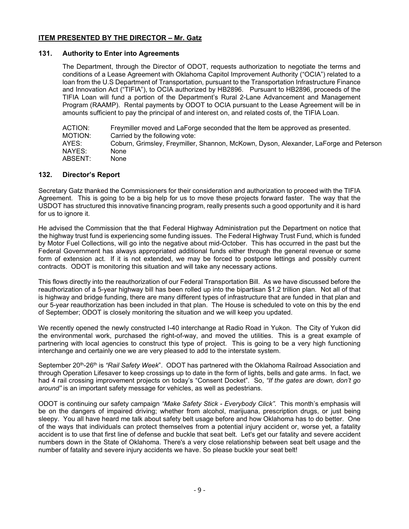# **ITEM PRESENTED BY THE DIRECTOR – Mr. Gatz**

# **131. Authority to Enter into Agreements**

The Department, through the Director of ODOT, requests authorization to negotiate the terms and conditions of a Lease Agreement with Oklahoma Capitol Improvement Authority ("OCIA") related to a loan from the U.S Department of Transportation, pursuant to the Transportation Infrastructure Finance and Innovation Act ("TIFIA"), to OCIA authorized by HB2896. Pursuant to HB2896, proceeds of the TIFIA Loan will fund a portion of the Department's Rural 2-Lane Advancement and Management Program (RAAMP). Rental payments by ODOT to OCIA pursuant to the Lease Agreement will be in amounts sufficient to pay the principal of and interest on, and related costs of, the TIFIA Loan.

| Freymiller moved and LaForge seconded that the Item be approved as presented.         |
|---------------------------------------------------------------------------------------|
| Carried by the following vote:                                                        |
| Coburn, Grimsley, Freymiller, Shannon, McKown, Dyson, Alexander, LaForge and Peterson |
| None                                                                                  |
| None                                                                                  |
|                                                                                       |

# **132. Director's Report**

Secretary Gatz thanked the Commissioners for their consideration and authorization to proceed with the TIFIA Agreement. This is going to be a big help for us to move these projects forward faster. The way that the USDOT has structured this innovative financing program, really presents such a good opportunity and it is hard for us to ignore it.

He advised the Commission that the that Federal Highway Administration put the Department on notice that the highway trust fund is experiencing some funding issues. The Federal Highway Trust Fund, which is funded by Motor Fuel Collections, will go into the negative about mid-October. This has occurred in the past but the Federal Government has always appropriated additional funds either through the general revenue or some form of extension act. If it is not extended, we may be forced to postpone lettings and possibly current contracts. ODOT is monitoring this situation and will take any necessary actions.

This flows directly into the reauthorization of our Federal Transportation Bill. As we have discussed before the reauthorization of a 5-year highway bill has been rolled up into the bipartisan \$1.2 trillion plan. Not all of that is highway and bridge funding, there are many different types of infrastructure that are funded in that plan and our 5-year reauthorization has been included in that plan. The House is scheduled to vote on this by the end of September; ODOT is closely monitoring the situation and we will keep you updated.

We recently opened the newly constructed I-40 interchange at Radio Road in Yukon. The City of Yukon did the environmental work, purchased the right-of-way, and moved the utilities. This is a great example of partnering with local agencies to construct this type of project. This is going to be a very high functioning interchange and certainly one we are very pleased to add to the interstate system.

September 20th-26th is *"Rail Safety Week*". ODOT has partnered with the Oklahoma Railroad Association and through Operation Lifesaver to keep crossings up to date in the form of lights, bells and gate arms. In fact, we had 4 rail crossing improvement projects on today's "Consent Docket". So, *"If the gates are down, don't go around"* is an important safety message for vehicles, as well as pedestrians.

ODOT is continuing our safety campaign *"Make Safety Stick - Everybody Click".* This month's emphasis will be on the dangers of impaired driving; whether from alcohol, marijuana, prescription drugs, or just being sleepy. You all have heard me talk about safety belt usage before and how Oklahoma has to do better. One of the ways that individuals can protect themselves from a potential injury accident or, worse yet, a fatality accident is to use that first line of defense and buckle that seat belt. Let's get our fatality and severe accident numbers down in the State of Oklahoma. There's a very close relationship between seat belt usage and the number of fatality and severe injury accidents we have. So please buckle your seat belt!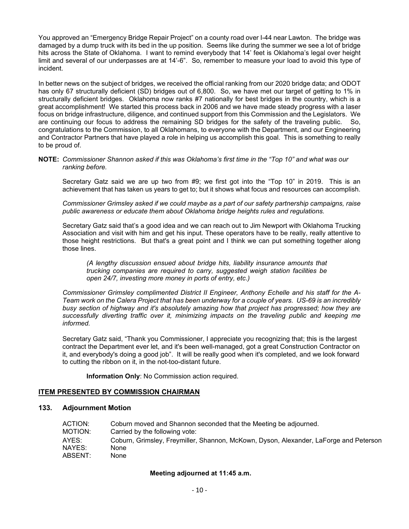You approved an "Emergency Bridge Repair Project" on a county road over I-44 near Lawton. The bridge was damaged by a dump truck with its bed in the up position. Seems like during the summer we see a lot of bridge hits across the State of Oklahoma. I want to remind everybody that 14' feet is Oklahoma's legal over height limit and several of our underpasses are at 14'-6". So, remember to measure your load to avoid this type of incident.

In better news on the subject of bridges, we received the official ranking from our 2020 bridge data; and ODOT has only 67 structurally deficient (SD) bridges out of 6,800. So, we have met our target of getting to 1% in structurally deficient bridges. Oklahoma now ranks #7 nationally for best bridges in the country, which is a great accomplishment! We started this process back in 2006 and we have made steady progress with a laser focus on bridge infrastructure, diligence, and continued support from this Commission and the Legislators. We are continuing our focus to address the remaining SD bridges for the safety of the traveling public. So, congratulations to the Commission, to all Oklahomans, to everyone with the Department, and our Engineering and Contractor Partners that have played a role in helping us accomplish this goal. This is something to really to be proud of.

#### **NOTE:** *Commissioner Shannon asked if this was Oklahoma's first time in the "Top 10" and what was our ranking before.*

Secretary Gatz said we are up two from #9; we first got into the "Top 10" in 2019. This is an achievement that has taken us years to get to; but it shows what focus and resources can accomplish.

*Commissioner Grimsley asked if we could maybe as a part of our safety partnership campaigns, raise public awareness or educate them about Oklahoma bridge heights rules and regulations.*

Secretary Gatz said that's a good idea and we can reach out to Jim Newport with Oklahoma Trucking Association and visit with him and get his input. These operators have to be really, really attentive to those height restrictions. But that's a great point and I think we can put something together along those lines.

*(A lengthy discussion ensued about bridge hits, liability insurance amounts that trucking companies are required to carry, suggested weigh station facilities be open 24/7, investing more money in ports of entry, etc.)*

*Commissioner Grimsley complimented District II Engineer, Anthony Echelle and his staff for the A-Team work on the Calera Project that has been underway for a couple of years. US-69 is an incredibly busy section of highway and it's absolutely amazing how that project has progressed; how they are successfully diverting traffic over it, minimizing impacts on the traveling public and keeping me informed.*

Secretary Gatz said, "Thank you Commissioner, I appreciate you recognizing that; this is the largest contract the Department ever let, and it's been well-managed, got a great Construction Contractor on it, and everybody's doing a good job". It will be really good when it's completed, and we look forward to cutting the ribbon on it, in the not-too-distant future.

**Information Only**: No Commission action required.

## **ITEM PRESENTED BY COMMISSION CHAIRMAN**

# **133. Adjournment Motion**

| ACTION:<br>Coburn moved and Shannon seconded that the Meeting be adjourned.                    |  |
|------------------------------------------------------------------------------------------------|--|
| MOTION:<br>Carried by the following vote:                                                      |  |
| AYES:<br>Coburn, Grimsley, Freymiller, Shannon, McKown, Dyson, Alexander, LaForge and Peterson |  |
| NAYES:<br>None                                                                                 |  |
| ABSENT:<br>None                                                                                |  |

## **Meeting adjourned at 11:45 a.m.**